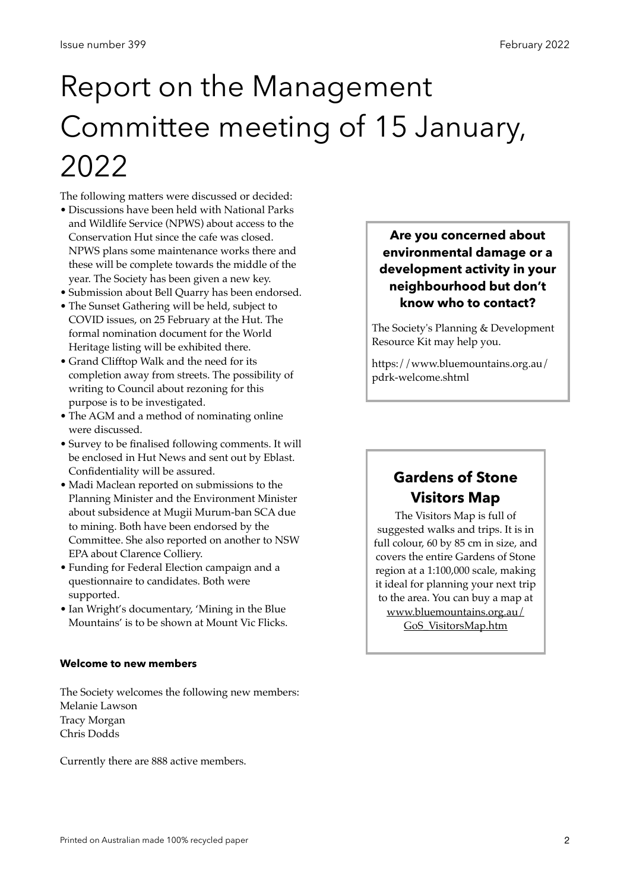# Report on the Management Committee meeting of 15 January, 2022

The following matters were discussed or decided:

- Discussions have been held with National Parks and Wildlife Service (NPWS) about access to the Conservation Hut since the cafe was closed. NPWS plans some maintenance works there and these will be complete towards the middle of the year. The Society has been given a new key.
- Submission about Bell Quarry has been endorsed.
- The Sunset Gathering will be held, subject to COVID issues, on 25 February at the Hut. The formal nomination document for the World Heritage listing will be exhibited there.
- Grand Clifftop Walk and the need for its completion away from streets. The possibility of writing to Council about rezoning for this purpose is to be investigated.
- The AGM and a method of nominating online were discussed.
- Survey to be finalised following comments. It will be enclosed in Hut News and sent out by Eblast. Confidentiality will be assured.
- Madi Maclean reported on submissions to the Planning Minister and the Environment Minister about subsidence at Mugii Murum-ban SCA due to mining. Both have been endorsed by the Committee. She also reported on another to NSW EPA about Clarence Colliery.
- Funding for Federal Election campaign and a questionnaire to candidates. Both were supported.
- Ian Wright's documentary, 'Mining in the Blue Mountains' is to be shown at Mount Vic Flicks.

#### **Welcome to new members**

The Society welcomes the following new members: Melanie Lawson Tracy Morgan Chris Dodds

Currently there are 888 active members.

#### **Are you concerned about environmental damage or a development activity in your neighbourhood but don't know who to contact?**

The Society's Planning & Development Resource Kit may help you.

[https://www.bluemountains.org.au/](https://www.bluemountains.org.au/pdrk-welcome.shtml) [pdrk-welcome.shtml](https://www.bluemountains.org.au/pdrk-welcome.shtml) 

### **[Gardens of Stone](http://www.apple.com/au/)  Visitors Map**

The Visitors Map is full of suggested walks and trips. It is in full colour, 60 by 85 cm in size, and covers the entire Gardens of Stone region at a 1:100,000 scale, making it ideal for planning your next trip to the area. You can buy a map at [www.bluemountains.org.au/](https://www.bluemountains.org.au/GoS_VisitorsMap.htm) [GoS\\_VisitorsMap.htm](https://www.bluemountains.org.au/GoS_VisitorsMap.htm)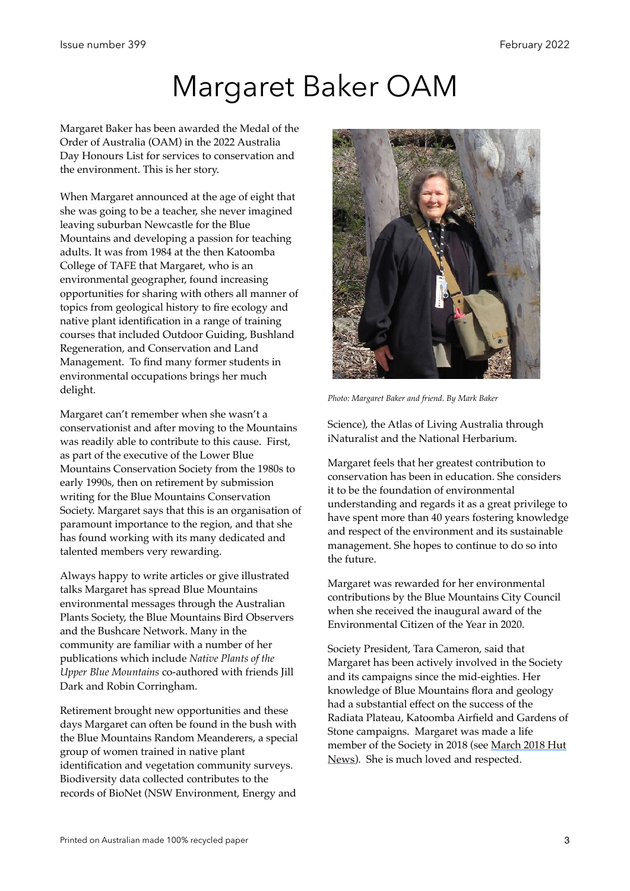### Margaret Baker OAM

Margaret Baker has been awarded the Medal of the Order of Australia (OAM) in the 2022 Australia Day Honours List for services to conservation and the environment. This is her story.

When Margaret announced at the age of eight that she was going to be a teacher, she never imagined leaving suburban Newcastle for the Blue Mountains and developing a passion for teaching adults. It was from 1984 at the then Katoomba College of TAFE that Margaret, who is an environmental geographer, found increasing opportunities for sharing with others all manner of topics from geological history to fire ecology and native plant identification in a range of training courses that included Outdoor Guiding, Bushland Regeneration, and Conservation and Land Management. To find many former students in environmental occupations brings her much delight.

Margaret can't remember when she wasn't a conservationist and after moving to the Mountains was readily able to contribute to this cause. First, as part of the executive of the Lower Blue Mountains Conservation Society from the 1980s to early 1990s, then on retirement by submission writing for the Blue Mountains Conservation Society. Margaret says that this is an organisation of paramount importance to the region, and that she has found working with its many dedicated and talented members very rewarding.

Always happy to write articles or give illustrated talks Margaret has spread Blue Mountains environmental messages through the Australian Plants Society, the Blue Mountains Bird Observers and the Bushcare Network. Many in the community are familiar with a number of her publications which include *Native Plants of the Upper Blue Mountains* co-authored with friends Jill Dark and Robin Corringham.

Retirement brought new opportunities and these days Margaret can often be found in the bush with the Blue Mountains Random Meanderers, a special group of women trained in native plant identification and vegetation community surveys. Biodiversity data collected contributes to the records of BioNet (NSW Environment, Energy and



*Photo: Margaret Baker and friend. By Mark Baker* 

Science), the Atlas of Living Australia through iNaturalist and the National Herbarium.

Margaret feels that her greatest contribution to conservation has been in education. She considers it to be the foundation of environmental understanding and regards it as a great privilege to have spent more than 40 years fostering knowledge and respect of the environment and its sustainable management. She hopes to continue to do so into the future.

Margaret was rewarded for her environmental contributions by the Blue Mountains City Council when she received the inaugural award of the Environmental Citizen of the Year in 2020.

Society President, Tara Cameron, said that Margaret has been actively involved in the Society and its campaigns since the mid-eighties. Her knowledge of Blue Mountains flora and geology had a substantial effect on the success of the Radiata Plateau, Katoomba Airfield and Gardens of Stone campaigns. Margaret was made a life member of the Society in 2018 (see [March 2018 Hut](https://www.bluemountains.org.au/documents/hutnews/archive/1803-hutnews.pdf)  [News](https://www.bluemountains.org.au/documents/hutnews/archive/1803-hutnews.pdf)). She is much loved and respected.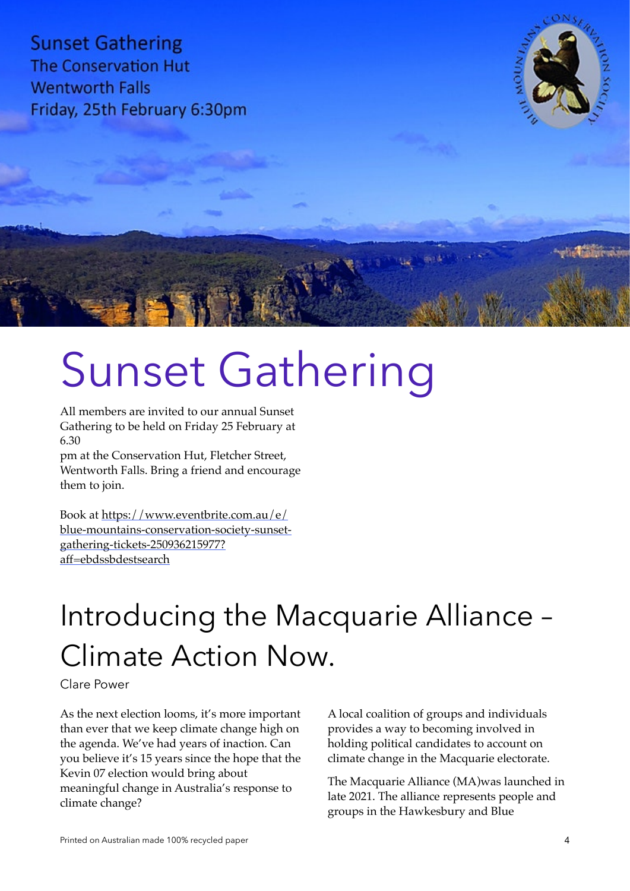**Sunset Gathering The Conservation Hut Wentworth Falls** Friday, 25th February 6:30pm



# Sunset Gathering

All members are invited to our annual Sunset Gathering to be held on Friday 25 February at 6.30

pm at the Conservation Hut, Fletcher Street, Wentworth Falls. Bring a friend and encourage them to join.

Book at [https://www.eventbrite.com.au/e/](https://www.eventbrite.com.au/e/blue-mountains-conservation-society-sunset-gathering-tickets-250936215977?aff=ebdssbdestsearch) [blue-mountains-conservation-society-sunset](https://www.eventbrite.com.au/e/blue-mountains-conservation-society-sunset-gathering-tickets-250936215977?aff=ebdssbdestsearch)[gathering-tickets-250936215977?](https://www.eventbrite.com.au/e/blue-mountains-conservation-society-sunset-gathering-tickets-250936215977?aff=ebdssbdestsearch) [aff=ebdssbdestsearch](https://www.eventbrite.com.au/e/blue-mountains-conservation-society-sunset-gathering-tickets-250936215977?aff=ebdssbdestsearch)

### Introducing the Macquarie Alliance – Climate Action Now.

Clare Power

As the next election looms, it's more important than ever that we keep climate change high on the agenda. We've had years of inaction. Can you believe it's 15 years since the hope that the Kevin 07 election would bring about meaningful change in Australia's response to climate change?

A local coalition of groups and individuals provides a way to becoming involved in holding political candidates to account on climate change in the Macquarie electorate.

The Macquarie Alliance (MA)was launched in late 2021. The alliance represents people and groups in the Hawkesbury and Blue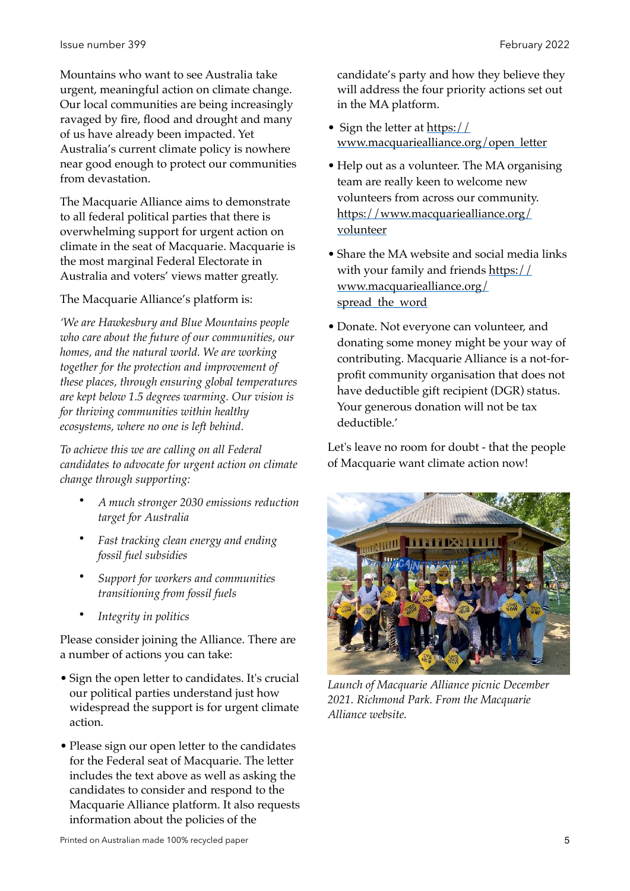Mountains who want to see Australia take urgent, meaningful action on climate change. Our local communities are being increasingly ravaged by fire, flood and drought and many of us have already been impacted. Yet Australia's current climate policy is nowhere near good enough to protect our communities from devastation.

The Macquarie Alliance aims to demonstrate to all federal political parties that there is overwhelming support for urgent action on climate in the seat of Macquarie. Macquarie is the most marginal Federal Electorate in Australia and voters' views matter greatly.

The Macquarie Alliance's platform is:

*'We are Hawkesbury and Blue Mountains people who care about the future of our communities, our homes, and the natural world. We are working together for the protection and improvement of these places, through ensuring global temperatures are kept below 1.5 degrees warming. Our vision is for thriving communities within healthy ecosystems, where no one is left behind.*

*To achieve this we are calling on all Federal candidates to advocate for urgent action on climate change through supporting:* 

- *A much stronger 2030 emissions reduction target for Australia*
- *Fast tracking clean energy and ending fossil fuel subsidies*
- *Support for workers and communities transitioning from fossil fuels*
- *Integrity in politics*

Please consider joining the Alliance. There are a number of actions you can take:

- Sign the open letter to candidates. It's crucial our political parties understand just how widespread the support is for urgent climate action.
- Please sign our open letter to the candidates for the Federal seat of Macquarie. The letter includes the text above as well as asking the candidates to consider and respond to the Macquarie Alliance platform. It also requests information about the policies of the

candidate's party and how they believe they will address the four priority actions set out in the MA platform.

- Sign the letter at [https://](https://www.macquariealliance.org/open_letter) [www.macquariealliance.org/open\\_letter](https://www.macquariealliance.org/open_letter)
- Help out as a volunteer. The MA organising team are really keen to welcome new volunteers from across our community. [https://www.macquariealliance.org/](https://www.macquariealliance.org/volunteer) [volunteer](https://www.macquariealliance.org/volunteer)
- Share the MA website and social media links with your family and friends [https://](https://www.macquariealliance.org/spread_the_word) [www.macquariealliance.org/](https://www.macquariealliance.org/spread_the_word) [spread\\_the\\_word](https://www.macquariealliance.org/spread_the_word)
- Donate. Not everyone can volunteer, and donating some money might be your way of contributing. Macquarie Alliance is a not-forprofit community organisation that does not have deductible gift recipient (DGR) status. Your generous donation will not be tax deductible.'

Let's leave no room for doubt - that the people of Macquarie want climate action now!



*Launch of Macquarie Alliance picnic December 2021. Richmond Park. From the Macquarie Alliance website.*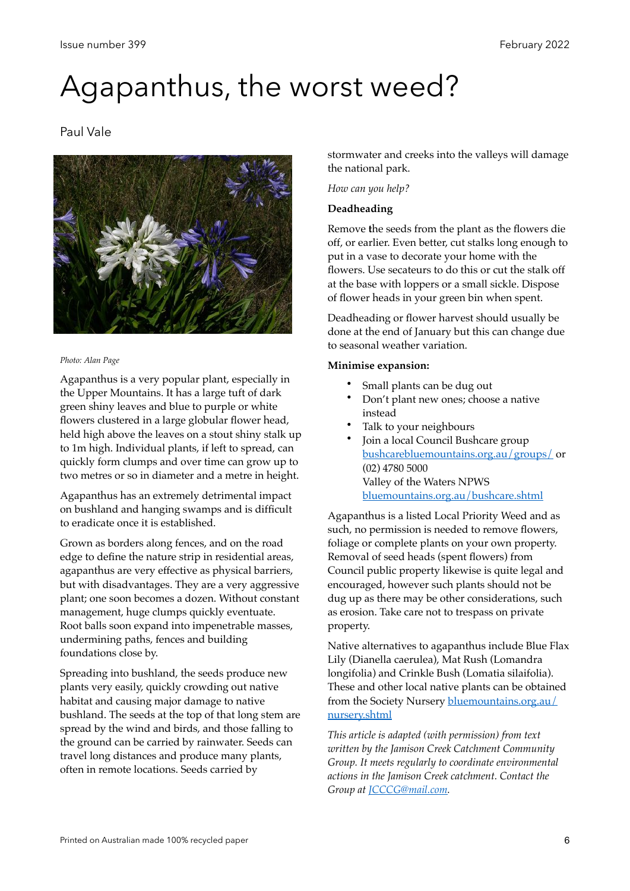### Agapanthus, the worst weed?

#### Paul Vale



#### *Photo: Alan Page*

Agapanthus is a very popular plant, especially in the Upper Mountains. It has a large tuft of dark green shiny leaves and blue to purple or white flowers clustered in a large globular flower head, held high above the leaves on a stout shiny stalk up to 1m high. Individual plants, if left to spread, can quickly form clumps and over time can grow up to two metres or so in diameter and a metre in height.

Agapanthus has an extremely detrimental impact on bushland and hanging swamps and is difficult to eradicate once it is established.

Grown as borders along fences, and on the road edge to define the nature strip in residential areas, agapanthus are very effective as physical barriers, but with disadvantages. They are a very aggressive plant; one soon becomes a dozen. Without constant management, huge clumps quickly eventuate. Root balls soon expand into impenetrable masses, undermining paths, fences and building foundations close by.

Spreading into bushland, the seeds produce new plants very easily, quickly crowding out native habitat and causing major damage to native bushland. The seeds at the top of that long stem are spread by the wind and birds, and those falling to the ground can be carried by rainwater. Seeds can travel long distances and produce many plants, often in remote locations. Seeds carried by

stormwater and creeks into the valleys will damage the national park.

*How can you help?*

#### **Deadheading**

Remove **t**he seeds from the plant as the flowers die off, or earlier. Even better, cut stalks long enough to put in a vase to decorate your home with the flowers. Use secateurs to do this or cut the stalk off at the base with loppers or a small sickle. Dispose of flower heads in your green bin when spent.

Deadheading or flower harvest should usually be done at the end of January but this can change due to seasonal weather variation.

#### **Minimise expansion:**

- Small plants can be dug out
- Don't plant new ones; choose a native instead
- Talk to your neighbours
- Join a local Council Bushcare group [bushcarebluemountains.org.au/groups/](https://www.bushcarebluemountains.org.au/groups/) or (02) 4780 5000 Valley of the Waters NPWS [bluemountains.org.au/bushcare.shtml](https://bluemountains.org.au/bushcare.shtml)

Agapanthus is a listed Local Priority Weed and as such, no permission is needed to remove flowers, foliage or complete plants on your own property. Removal of seed heads (spent flowers) from Council public property likewise is quite legal and encouraged, however such plants should not be dug up as there may be other considerations, such as erosion. Take care not to trespass on private property.

Native alternatives to agapanthus include Blue Flax Lily (Dianella caerulea), Mat Rush (Lomandra longifolia) and Crinkle Bush (Lomatia silaifolia). These and other local native plants can be obtained from the Society Nursery [bluemountains.org.au/](https://bluemountains.org.au/nursery.shtml) [nursery.shtml](https://bluemountains.org.au/nursery.shtml)

*This article is adapted (with permission) from text written by the Jamison Creek Catchment Community Group. It meets regularly to coordinate environmental actions in the Jamison Creek catchment. Contact the Group at [JCCCG@mail.com.](mailto:JCCCG@mail.com)*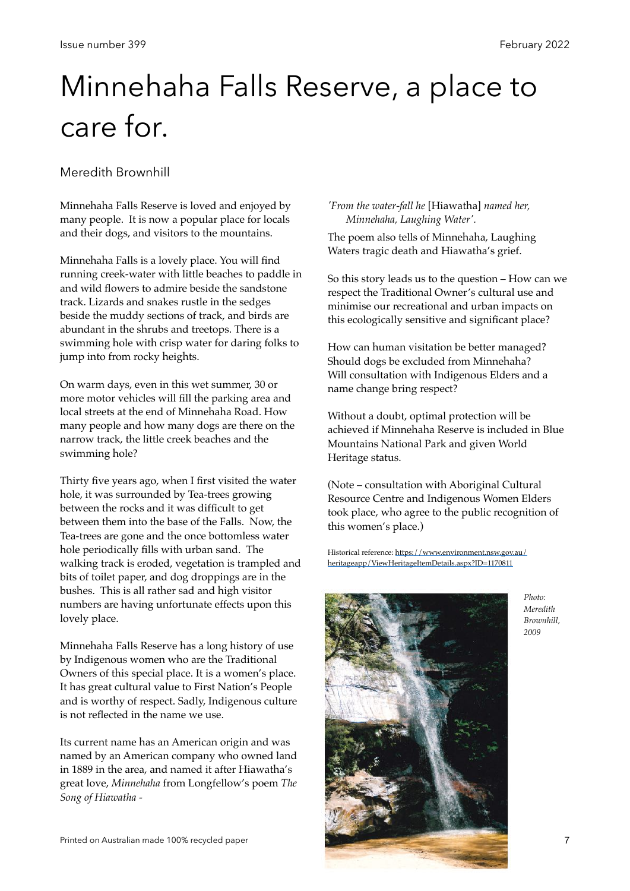## Minnehaha Falls Reserve, a place to care for.

Meredith Brownhill

Minnehaha Falls Reserve is loved and enjoyed by many people. It is now a popular place for locals and their dogs, and visitors to the mountains.

Minnehaha Falls is a lovely place. You will find running creek-water with little beaches to paddle in and wild flowers to admire beside the sandstone track. Lizards and snakes rustle in the sedges beside the muddy sections of track, and birds are abundant in the shrubs and treetops. There is a swimming hole with crisp water for daring folks to jump into from rocky heights.

On warm days, even in this wet summer, 30 or more motor vehicles will fill the parking area and local streets at the end of Minnehaha Road. How many people and how many dogs are there on the narrow track, the little creek beaches and the swimming hole?

Thirty five years ago, when I first visited the water hole, it was surrounded by Tea-trees growing between the rocks and it was difficult to get between them into the base of the Falls. Now, the Tea-trees are gone and the once bottomless water hole periodically fills with urban sand. The walking track is eroded, vegetation is trampled and bits of toilet paper, and dog droppings are in the bushes. This is all rather sad and high visitor numbers are having unfortunate effects upon this lovely place.

Minnehaha Falls Reserve has a long history of use by Indigenous women who are the Traditional Owners of this special place. It is a women's place. It has great cultural value to First Nation's People and is worthy of respect. Sadly, Indigenous culture is not reflected in the name we use.

Its current name has an American origin and was named by an American company who owned land in 1889 in the area, and named it after Hiawatha's great love, *Minnehaha* from Longfellow's poem *The Song of Hiawatha* -

*'From the water-fall he* [Hiawatha] *named her, Minnehaha, Laughing Water'.*

The poem also tells of Minnehaha, Laughing Waters tragic death and Hiawatha's grief.

So this story leads us to the question – How can we respect the Traditional Owner's cultural use and minimise our recreational and urban impacts on this ecologically sensitive and significant place?

How can human visitation be better managed? Should dogs be excluded from Minnehaha? Will consultation with Indigenous Elders and a name change bring respect?

Without a doubt, optimal protection will be achieved if Minnehaha Reserve is included in Blue Mountains National Park and given World Heritage status.

(Note – consultation with Aboriginal Cultural Resource Centre and Indigenous Women Elders took place, who agree to the public recognition of this women's place.)

Historical reference: [https://www.environment.nsw.gov.au/](https://www.environment.nsw.gov.au/heritageapp/ViewHeritageItemDetails.aspx?ID=1170811) [heritageapp/ViewHeritageItemDetails.aspx?ID=1170811](https://www.environment.nsw.gov.au/heritageapp/ViewHeritageItemDetails.aspx?ID=1170811)



*Photo: Meredith Brownhill, 2009*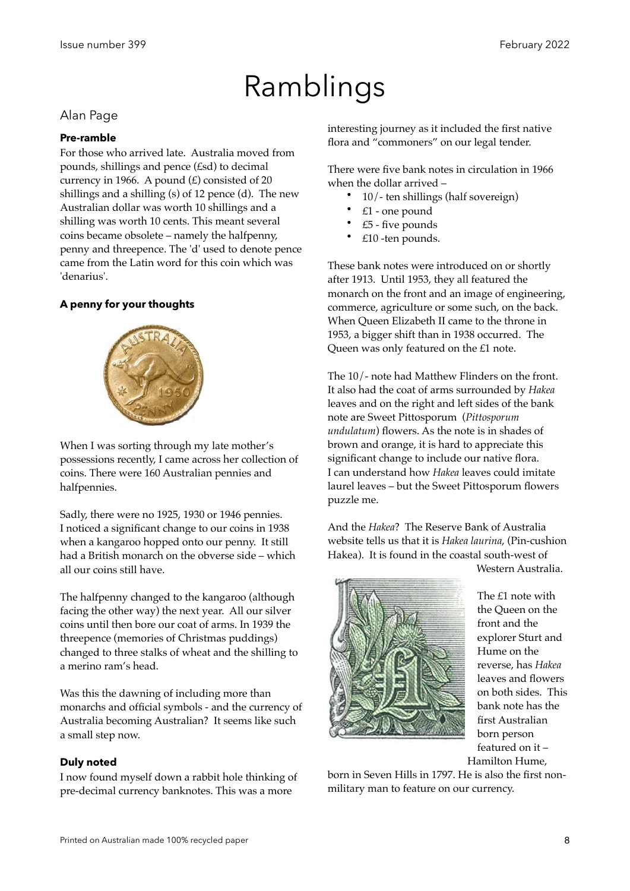### Ramblings

#### Alan Page

#### **Pre-ramble**

For those who arrived late. Australia moved from pounds, shillings and pence (£sd) to decimal currency in 1966. A pound  $(E)$  consisted of 20 shillings and a shilling (s) of 12 pence (d). The new Australian dollar was worth 10 shillings and a shilling was worth 10 cents. This meant several coins became obsolete – namely the halfpenny, penny and threepence. The 'd' used to denote pence came from the Latin word for this coin which was 'denarius'.

#### **A penny for your thoughts**



When I was sorting through my late mother's possessions recently, I came across her collection of coins. There were 160 Australian pennies and halfpennies.

Sadly, there were no 1925, 1930 or 1946 pennies. I noticed a significant change to our coins in 1938 when a kangaroo hopped onto our penny. It still had a British monarch on the obverse side – which all our coins still have.

The halfpenny changed to the kangaroo (although facing the other way) the next year. All our silver coins until then bore our coat of arms. In 1939 the threepence (memories of Christmas puddings) changed to three stalks of wheat and the shilling to a merino ram's head.

Was this the dawning of including more than monarchs and official symbols - and the currency of Australia becoming Australian? It seems like such a small step now.

#### **Duly noted**

I now found myself down a rabbit hole thinking of pre-decimal currency banknotes. This was a more

interesting journey as it included the first native flora and "commoners" on our legal tender.

There were five bank notes in circulation in 1966 when the dollar arrived –

- 10/- ten shillings (half sovereign)
- £1 one pound
- £5 five pounds
- £10 -ten pounds.

These bank notes were introduced on or shortly after 1913. Until 1953, they all featured the monarch on the front and an image of engineering, commerce, agriculture or some such, on the back. When Queen Elizabeth II came to the throne in 1953, a bigger shift than in 1938 occurred. The Queen was only featured on the £1 note.

The 10/- note had Matthew Flinders on the front. It also had the coat of arms surrounded by *Hakea* leaves and on the right and left sides of the bank note are Sweet Pittosporum (*Pittosporum undulatum*) flowers. As the note is in shades of brown and orange, it is hard to appreciate this significant change to include our native flora. I can understand how *Hakea* leaves could imitate laurel leaves – but the Sweet Pittosporum flowers puzzle me.

And the *Hakea*? The Reserve Bank of Australia website tells us that it is *Hakea laurina*, (Pin-cushion Hakea). It is found in the coastal south-west of Western Australia.



The £1 note with the Queen on the front and the explorer Sturt and Hume on the reverse, has *Hakea* leaves and flowers on both sides. This bank note has the first Australian born person featured on it – Hamilton Hume,

born in Seven Hills in 1797. He is also the first nonmilitary man to feature on our currency.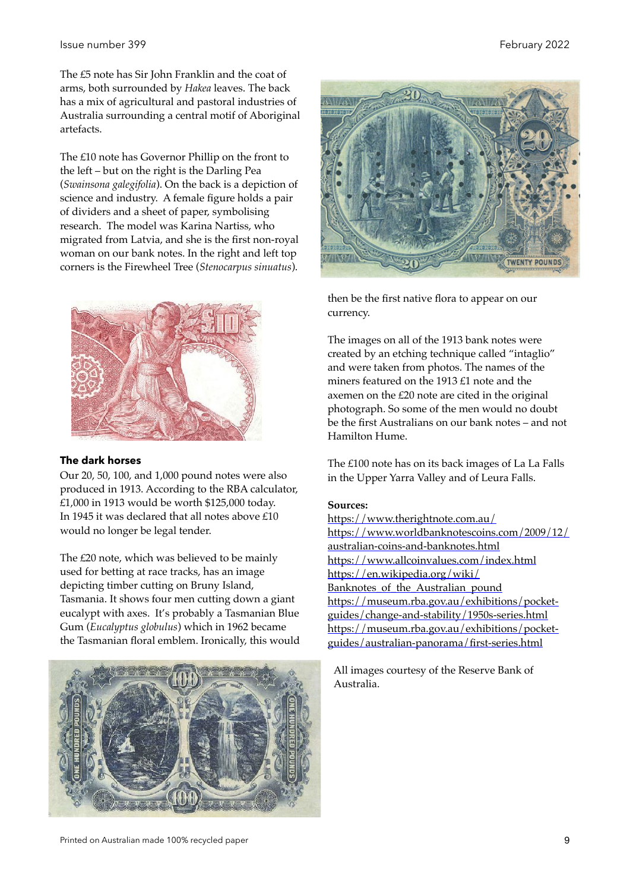The £5 note has Sir John Franklin and the coat of arms, both surrounded by *Hakea* leaves. The back has a mix of agricultural and pastoral industries of Australia surrounding a central motif of Aboriginal artefacts.

The £10 note has Governor Phillip on the front to the left – but on the right is the Darling Pea (*Swainsona galegifolia*). On the back is a depiction of science and industry. A female figure holds a pair of dividers and a sheet of paper, symbolising research. The model was Karina Nartiss, who migrated from Latvia, and she is the first non-royal woman on our bank notes. In the right and left top corners is the Firewheel Tree (*Stenocarpus sinuatus*).



#### **The dark horses**

Our 20, 50, 100, and 1,000 pound notes were also produced in 1913. According to the RBA calculator, £1,000 in 1913 would be worth \$125,000 today. In 1945 it was declared that all notes above £10 would no longer be legal tender.

The £20 note, which was believed to be mainly used for betting at race tracks, has an image depicting timber cutting on Bruny Island, Tasmania. It shows four men cutting down a giant eucalypt with axes. It's probably a Tasmanian Blue Gum (*Eucalyptus globulus*) which in 1962 became the Tasmanian floral emblem. Ironically, this would





then be the first native flora to appear on our currency.

The images on all of the 1913 bank notes were created by an etching technique called "intaglio" and were taken from photos. The names of the miners featured on the 1913 £1 note and the axemen on the £20 note are cited in the original photograph. So some of the men would no doubt be the first Australians on our bank notes – and not Hamilton Hume.

The £100 note has on its back images of La La Falls in the Upper Yarra Valley and of Leura Falls.

#### **Sources:**

<https://www.therightnote.com.au/> [https://www.worldbanknotescoins.com/2009/12/](https://www.worldbanknotescoins.com/2009/12/australian-coins-and-banknotes.html) [australian-coins-and-banknotes.html](https://www.worldbanknotescoins.com/2009/12/australian-coins-and-banknotes.html) <https://www.allcoinvalues.com/index.html> [https://en.wikipedia.org/wiki/](https://en.wikipedia.org/wiki/Banknotes_of_the_Australian_pound) Banknotes of the Australian pound [https://museum.rba.gov.au/exhibitions/pocket](https://museum.rba.gov.au/exhibitions/pocket-guides/change-and-stability/1950s-series.html)[guides/change-and-stability/1950s-series.html](https://museum.rba.gov.au/exhibitions/pocket-guides/change-and-stability/1950s-series.html)  [https://museum.rba.gov.au/exhibitions/pocket](https://museum.rba.gov.au/exhibitions/pocket-guides/australian-panorama/first-series.html)[guides/australian-panorama/first-series.html](https://museum.rba.gov.au/exhibitions/pocket-guides/australian-panorama/first-series.html)

All images courtesy of the Reserve Bank of Australia.

Printed on Australian made 100% recycled paper 9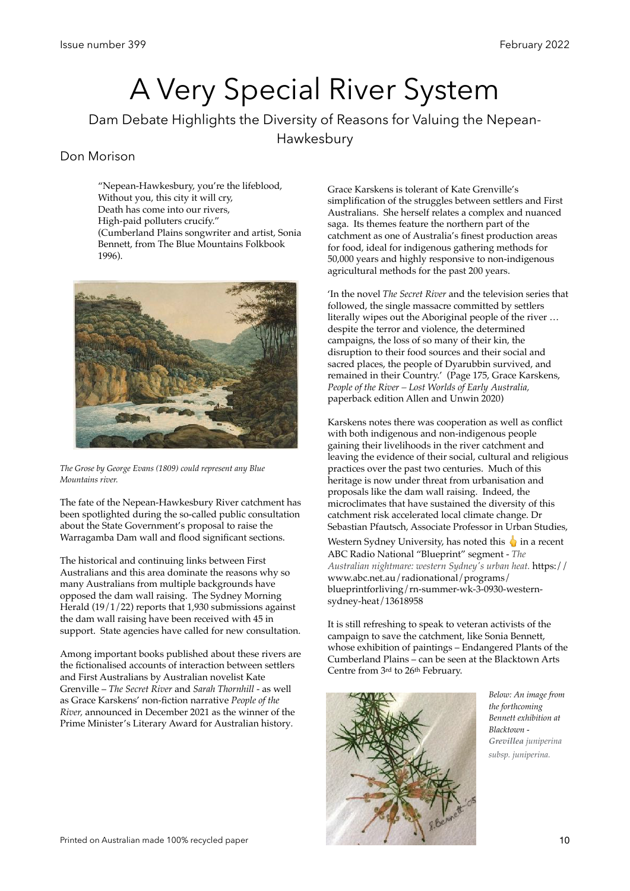### A Very Special River System

Dam Debate Highlights the Diversity of Reasons for Valuing the Nepean-Hawkesbury

#### Don Morison

"Nepean-Hawkesbury, you're the lifeblood, Without you, this city it will cry, Death has come into our rivers, High-paid polluters crucify." (Cumberland Plains songwriter and artist, Sonia Bennett, from The Blue Mountains Folkbook 1996).



*The Grose by George Evans (1809) could represent any Blue Mountains river.* 

The fate of the Nepean-Hawkesbury River catchment has been spotlighted during the so-called public consultation about the State Government's proposal to raise the Warragamba Dam wall and flood significant sections.

The historical and continuing links between First Australians and this area dominate the reasons why so many Australians from multiple backgrounds have opposed the dam wall raising. The Sydney Morning Herald (19/1/22) reports that 1,930 submissions against the dam wall raising have been received with 45 in support. State agencies have called for new consultation.

Among important books published about these rivers are the fictionalised accounts of interaction between settlers and First Australians by Australian novelist Kate Grenville – *The Secret River* and *Sarah Thornhill -* as well as Grace Karskens' non-fiction narrative *People of the River,* announced in December 2021 as the winner of the Prime Minister's Literary Award for Australian history*.* 

Grace Karskens is tolerant of Kate Grenville's simplification of the struggles between settlers and First Australians. She herself relates a complex and nuanced saga. Its themes feature the northern part of the catchment as one of Australia's finest production areas for food, ideal for indigenous gathering methods for 50,000 years and highly responsive to non-indigenous agricultural methods for the past 200 years.

'In the novel *The Secret River* and the television series that followed, the single massacre committed by settlers literally wipes out the Aboriginal people of the river … despite the terror and violence, the determined campaigns, the loss of so many of their kin, the disruption to their food sources and their social and sacred places, the people of Dyarubbin survived, and remained in their Country.' (Page 175, Grace Karskens, *People of the River – Lost Worlds of Early Australia,*  paperback edition Allen and Unwin 2020)

Karskens notes there was cooperation as well as conflict with both indigenous and non-indigenous people gaining their livelihoods in the river catchment and leaving the evidence of their social, cultural and religious practices over the past two centuries. Much of this heritage is now under threat from urbanisation and proposals like the dam wall raising. Indeed, the microclimates that have sustained the diversity of this catchment risk accelerated local climate change. Dr Sebastian Pfautsch, Associate Professor in Urban Studies, Western Sydney University, has noted this  $\bigcup$  in a recent ABC Radio National "Blueprint" segment - *The* 

*Australian nightmare: western Sydney's urban heat.* [https://](https://www.abc.net.au/radionational/programs/blueprintforliving/rn-summer-wk-3-0930-western-sydney-heat/13618958) [www.abc.net.au/radionational/programs/](https://www.abc.net.au/radionational/programs/blueprintforliving/rn-summer-wk-3-0930-western-sydney-heat/13618958) [blueprintforliving/rn-summer-wk-3-0930-western](https://www.abc.net.au/radionational/programs/blueprintforliving/rn-summer-wk-3-0930-western-sydney-heat/13618958)[sydney-heat/13618958](https://www.abc.net.au/radionational/programs/blueprintforliving/rn-summer-wk-3-0930-western-sydney-heat/13618958)

It is still refreshing to speak to veteran activists of the campaign to save the catchment, like Sonia Bennett, whose exhibition of paintings – Endangered Plants of the Cumberland Plains – can be seen at the Blacktown Arts Centre from 3rd to 26th February.



*Below: An image from the forthcoming Bennett exhibition at Blacktown - Grevillea juniperina subsp. juniperina.*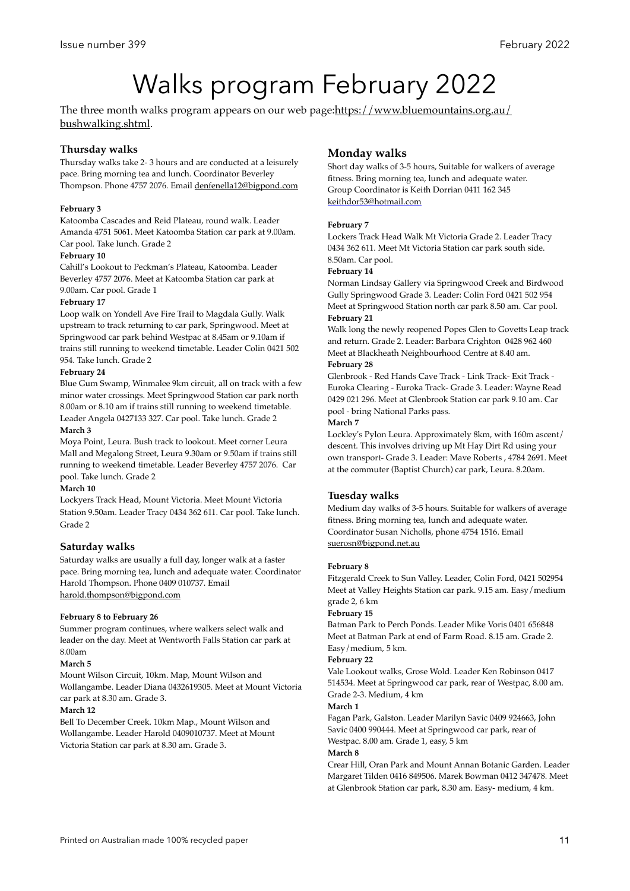### Walks program February 2022

The three month walks program appears on our web page[:https://www.bluemountains.org.au/](https://www.bluemountains.org.au/bushwalking.shtml) [bushwalking.shtml.](https://www.bluemountains.org.au/bushwalking.shtml)

#### **Thursday walks**

Thursday walks take 2- 3 hours and are conducted at a leisurely pace. Bring morning tea and lunch. Coordinator Beverley Thompson. Phone 4757 2076. Email [denfenella12@bigpond.com](mailto:denfenella12@bigpond.com)

#### **February 3**

Katoomba Cascades and Reid Plateau, round walk. Leader Amanda 4751 5061. Meet Katoomba Station car park at 9.00am. Car pool. Take lunch. Grade 2

#### **February 10**

Cahill's Lookout to Peckman's Plateau, Katoomba. Leader Beverley 4757 2076. Meet at Katoomba Station car park at 9.00am. Car pool. Grade 1

#### **February 17**

Loop walk on Yondell Ave Fire Trail to Magdala Gully. Walk upstream to track returning to car park, Springwood. Meet at Springwood car park behind Westpac at 8.45am or 9.10am if trains still running to weekend timetable. Leader Colin 0421 502 954. Take lunch. Grade 2

#### **February 24**

Blue Gum Swamp, Winmalee 9km circuit, all on track with a few minor water crossings. Meet Springwood Station car park north 8.00am or 8.10 am if trains still running to weekend timetable. Leader Angela 0427133 327. Car pool. Take lunch. Grade 2

#### **March 3**

Moya Point, Leura. Bush track to lookout. Meet corner Leura Mall and Megalong Street, Leura 9.30am or 9.50am if trains still running to weekend timetable. Leader Beverley 4757 2076. Car pool. Take lunch. Grade 2

#### **March 10**

Lockyers Track Head, Mount Victoria. Meet Mount Victoria Station 9.50am. Leader Tracy 0434 362 611. Car pool. Take lunch. Grade 2

#### **Saturday walks**

Saturday walks are usually a full day, longer walk at a faster pace. Bring morning tea, lunch and adequate water. Coordinator Harold Thompson. Phone 0409 010737. Email [harold.thompson@bigpond.com](mailto:harold.thompson@bigpond.com)

#### **February 8 to February 26**

Summer program continues, where walkers select walk and leader on the day. Meet at Wentworth Falls Station car park at 8.00am

#### **March 5**

Mount Wilson Circuit, 10km. Map, Mount Wilson and Wollangambe. Leader Diana 0432619305. Meet at Mount Victoria car park at 8.30 am. Grade 3.

#### **March 12**

Bell To December Creek. 10km Map., Mount Wilson and Wollangambe. Leader Harold 0409010737. Meet at Mount Victoria Station car park at 8.30 am. Grade 3.

#### **Monday walks**

Short day walks of 3-5 hours, Suitable for walkers of average fitness. Bring morning tea, lunch and adequate water. Group Coordinator is Keith Dorrian 0411 162 345 [keithdor53@hotmail.com](mailto:keithdor53@hotmail.com)

#### **February 7**

Lockers Track Head Walk Mt Victoria Grade 2. Leader Tracy 0434 362 611. Meet Mt Victoria Station car park south side. 8.50am. Car pool.

#### **February 14**

Norman Lindsay Gallery via Springwood Creek and Birdwood Gully Springwood Grade 3. Leader: Colin Ford 0421 502 954 Meet at Springwood Station north car park 8.50 am. Car pool. **February 21** 

Walk long the newly reopened Popes Glen to Govetts Leap track and return. Grade 2. Leader: Barbara Crighton 0428 962 460 Meet at Blackheath Neighbourhood Centre at 8.40 am.

#### **February 28**

Glenbrook - Red Hands Cave Track - Link Track- Exit Track - Euroka Clearing - Euroka Track- Grade 3. Leader: Wayne Read 0429 021 296. Meet at Glenbrook Station car park 9.10 am. Car pool - bring National Parks pass.

#### **March 7**

Lockley's Pylon Leura. Approximately 8km, with 160m ascent/ descent. This involves driving up Mt Hay Dirt Rd using your own transport- Grade 3. Leader: Mave Roberts , 4784 2691. Meet at the commuter (Baptist Church) car park, Leura. 8.20am.

#### **Tuesday walks**

Medium day walks of 3-5 hours. Suitable for walkers of average fitness. Bring morning tea, lunch and adequate water. Coordinator Susan Nicholls, phone 4754 1516. Email [suerosn@bigpond.net.au](mailto:suerosn@bigpond.net.au)

#### **February 8**

Fitzgerald Creek to Sun Valley. Leader, Colin Ford, 0421 502954 Meet at Valley Heights Station car park. 9.15 am. Easy/medium grade 2, 6 km

#### **February 15**

Batman Park to Perch Ponds. Leader Mike Voris 0401 656848 Meet at Batman Park at end of Farm Road. 8.15 am. Grade 2. Easy/medium, 5 km.

#### **February 22**

Vale Lookout walks, Grose Wold. Leader Ken Robinson 0417 514534. Meet at Springwood car park, rear of Westpac, 8.00 am. Grade 2-3. Medium, 4 km

#### **March 1**

Fagan Park, Galston. Leader Marilyn Savic 0409 924663, John Savic 0400 990444. Meet at Springwood car park, rear of Westpac. 8.00 am. Grade 1, easy, 5 km

#### **March 8**

Crear Hill, Oran Park and Mount Annan Botanic Garden. Leader Margaret Tilden 0416 849506. Marek Bowman 0412 347478. Meet at Glenbrook Station car park, 8.30 am. Easy- medium, 4 km.